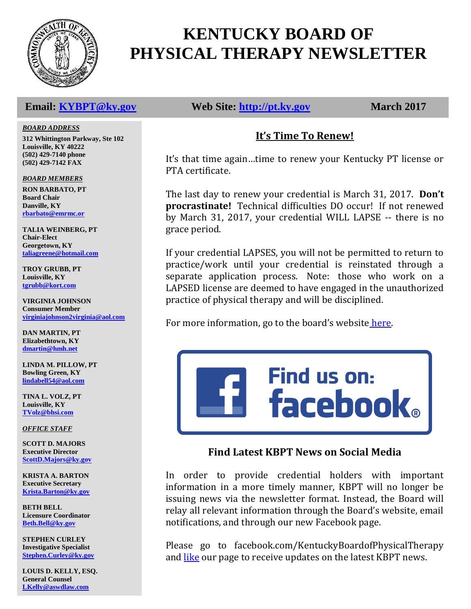

# **KENTUCKY BOARD OF PHYSICAL THERAPY NEWSLETTER**

#### *BOARD ADDRESS*

**312 Whittington Parkway, Ste 102 Louisville, KY 40222 (502) 429-7140 phone (502) 429-7142 FAX**

#### *BOARD MEMBERS*

**RON BARBATO, PT Board Chair Danville, KY [rbarbato@emrmc.or](mailto:rbarbato@emrmc.or)**

**TALIA WEINBERG, PT Chair-Elect Georgetown, KY [taliagreene@hotmail.com](mailto:taliagreene@hotmail.com)**

**TROY GRUBB, PT Louisville, KY [tgrubb@kort.com](mailto:tgrubb@kort.com)**

**VIRGINIA JOHNSON Consumer Member [virginiajohnson2virginia@aol.com](mailto:vjohnson14769@yahoo.com)**

**DAN MARTIN, PT Elizabethtown, KY [dmartin@hmh.net](mailto:dmartin@hmh.net)**

**LINDA M. PILLOW, PT Bowling Green, KY [lindabell54@aol.com](mailto:blainpt@netzero.net)**

**TINA L. VOLZ, PT Louisville, KY [TVolz@bhsi.com](mailto:TVolz@bhsi.com)**

*OFFICE STAFF*

**SCOTT D. MAJORS Executive Director [ScottD.Majors@ky.gov](mailto:ScottD.Majors@ky.gov)**

**KRISTA A. BARTON Executive Secretary [Krista.Barton@ky.gov](mailto:Krista.Barton@ky.gov)**

**BETH BELL Licensure Coordinator [Beth.Bell@ky.gov](mailto:Beth.Bell@ky.gov)**

**STEPHEN CURLEY Investigative Specialist [Stephen.Curley@ky.gov](mailto:Stephen.Curley@ky.gov)**

**LOUIS D. KELLY, ESQ. General Counsel [LKelly@aswdlaw.com](mailto:LKelly@aswdlaw.com)**

**Email: [KYBPT@ky.gov](mailto:KYBPT@ky.gov) Web Site: [http://pt.ky.gov](http://pt.ky.gov/) March 2017**

## **It's Time To Renew!**

It's that time again…time to renew your Kentucky PT license or PTA certificate.

The last day to renew your credential is March 31, 2017. **Don't procrastinate!** Technical difficulties DO occur! If not renewed by March 31, 2017, your credential WILL LAPSE -- there is no grace period.

If your credential LAPSES, you will not be permitted to return to practice/work until your credential is reinstated through a separate application process. Note: those who work on a LAPSED license are deemed to have engaged in the unauthorized practice of physical therapy and will be disciplined.

For more information, go to the board's website [here.](http://pt.ky.gov/Forms/Documents/2017%20Renewal%20Instructions.pdf.)



## **Find Latest KBPT News on Social Media**

In order to provide credential holders with important information in a more timely manner, KBPT will no longer be issuing news via the newsletter format. Instead, the Board will relay all relevant information through the Board's website, email notifications, and through our new Facebook page.

Please go to facebook.com/KentuckyBoardofPhysicalTherapy and [like](file:///E:/KBPT/Newsletter/facebook.com/KentuckyBoardofPhysicalTherapy.com) our page to receive updates on the latest KBPT news.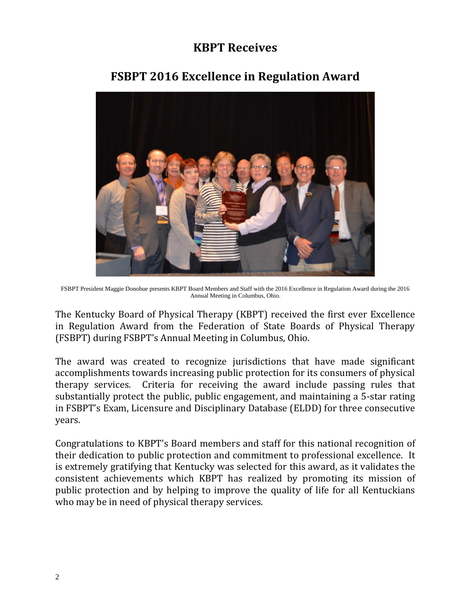## **KBPT Receives**



## **FSBPT 2016 Excellence in Regulation Award**

FSBPT President Maggie Donohue presents KBPT Board Members and Staff with the 2016 Excellence in Regulation Award during the 2016 Annual Meeting in Columbus, Ohio.

The Kentucky Board of Physical Therapy (KBPT) received the first ever Excellence in Regulation Award from the Federation of State Boards of Physical Therapy (FSBPT) during FSBPT's Annual Meeting in Columbus, Ohio.

The award was created to recognize jurisdictions that have made significant accomplishments towards increasing public protection for its consumers of physical therapy services. Criteria for receiving the award include passing rules that substantially protect the public, public engagement, and maintaining a 5-star rating in FSBPT's Exam, Licensure and Disciplinary Database (ELDD) for three consecutive years.

Congratulations to KBPT's Board members and staff for this national recognition of their dedication to public protection and commitment to professional excellence. It is extremely gratifying that Kentucky was selected for this award, as it validates the consistent achievements which KBPT has realized by promoting its mission of public protection and by helping to improve the quality of life for all Kentuckians who may be in need of physical therapy services.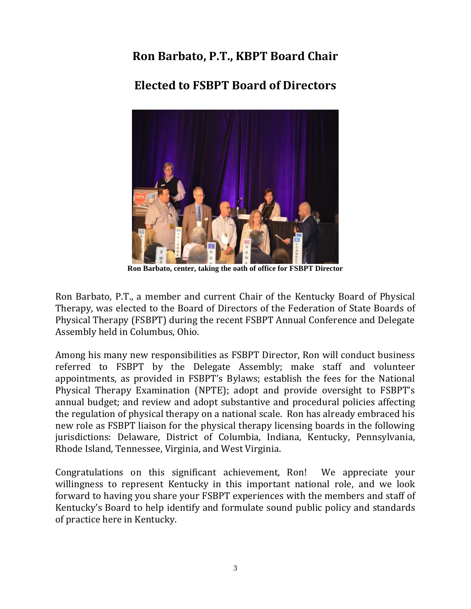## **Ron Barbato, P.T., KBPT Board Chair**

## **Elected to FSBPT Board of Directors**



**Ron Barbato, center, taking the oath of office for FSBPT Director**

Ron Barbato, P.T., a member and current Chair of the Kentucky Board of Physical Therapy, was elected to the Board of Directors of the Federation of State Boards of Physical Therapy (FSBPT) during the recent FSBPT Annual Conference and Delegate Assembly held in Columbus, Ohio.

Among his many new responsibilities as FSBPT Director, Ron will conduct business referred to FSBPT by the Delegate Assembly; make staff and volunteer appointments, as provided in FSBPT's Bylaws; establish the fees for the National Physical Therapy Examination (NPTE); adopt and provide oversight to FSBPT's annual budget; and review and adopt substantive and procedural policies affecting the regulation of physical therapy on a national scale. Ron has already embraced his new role as FSBPT liaison for the physical therapy licensing boards in the following jurisdictions: Delaware, District of Columbia, Indiana, Kentucky, Pennsylvania, Rhode Island, Tennessee, Virginia, and West Virginia.

Congratulations on this significant achievement, Ron! We appreciate your willingness to represent Kentucky in this important national role, and we look forward to having you share your FSBPT experiences with the members and staff of Kentucky's Board to help identify and formulate sound public policy and standards of practice here in Kentucky.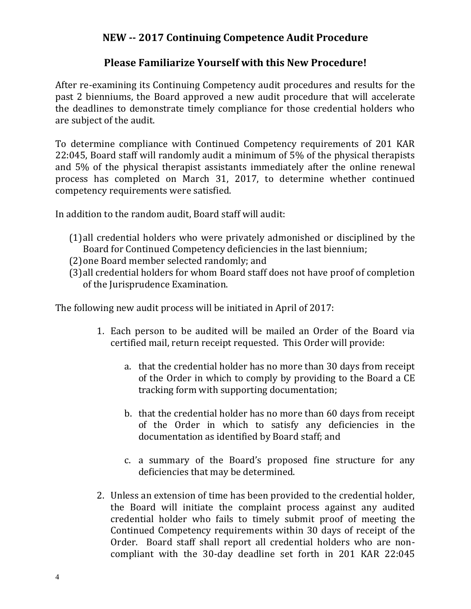## **NEW -- 2017 Continuing Competence Audit Procedure**

## **Please Familiarize Yourself with this New Procedure!**

After re-examining its Continuing Competency audit procedures and results for the past 2 bienniums, the Board approved a new audit procedure that will accelerate the deadlines to demonstrate timely compliance for those credential holders who are subject of the audit.

To determine compliance with Continued Competency requirements of 201 KAR 22:045, Board staff will randomly audit a minimum of 5% of the physical therapists and 5% of the physical therapist assistants immediately after the online renewal process has completed on March 31, 2017, to determine whether continued competency requirements were satisfied.

In addition to the random audit, Board staff will audit:

- (1)all credential holders who were privately admonished or disciplined by the Board for Continued Competency deficiencies in the last biennium;
- (2)one Board member selected randomly; and
- (3)all credential holders for whom Board staff does not have proof of completion of the Jurisprudence Examination.

The following new audit process will be initiated in April of 2017:

- 1. Each person to be audited will be mailed an Order of the Board via certified mail, return receipt requested. This Order will provide:
	- a. that the credential holder has no more than 30 days from receipt of the Order in which to comply by providing to the Board a CE tracking form with supporting documentation;
	- b. that the credential holder has no more than 60 days from receipt of the Order in which to satisfy any deficiencies in the documentation as identified by Board staff; and
	- c. a summary of the Board's proposed fine structure for any deficiencies that may be determined.
- 2. Unless an extension of time has been provided to the credential holder, the Board will initiate the complaint process against any audited credential holder who fails to timely submit proof of meeting the Continued Competency requirements within 30 days of receipt of the Order. Board staff shall report all credential holders who are noncompliant with the 30-day deadline set forth in 201 KAR 22:045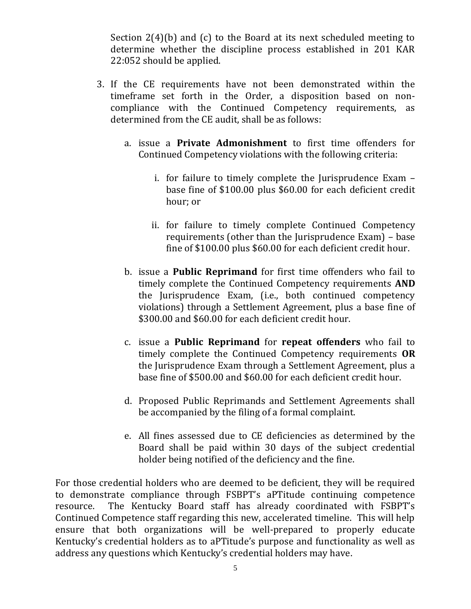Section 2(4)(b) and (c) to the Board at its next scheduled meeting to determine whether the discipline process established in 201 KAR 22:052 should be applied.

- 3. If the CE requirements have not been demonstrated within the timeframe set forth in the Order, a disposition based on noncompliance with the Continued Competency requirements, as determined from the CE audit, shall be as follows:
	- a. issue a **Private Admonishment** to first time offenders for Continued Competency violations with the following criteria:
		- i. for failure to timely complete the Jurisprudence Exam base fine of \$100.00 plus \$60.00 for each deficient credit hour; or
		- ii. for failure to timely complete Continued Competency requirements (other than the Jurisprudence Exam) – base fine of \$100.00 plus \$60.00 for each deficient credit hour.
	- b. issue a **Public Reprimand** for first time offenders who fail to timely complete the Continued Competency requirements **AND** the Jurisprudence Exam, (i.e., both continued competency violations) through a Settlement Agreement, plus a base fine of \$300.00 and \$60.00 for each deficient credit hour.
	- c. issue a **Public Reprimand** for **repeat offenders** who fail to timely complete the Continued Competency requirements **OR** the Jurisprudence Exam through a Settlement Agreement, plus a base fine of \$500.00 and \$60.00 for each deficient credit hour.
	- d. Proposed Public Reprimands and Settlement Agreements shall be accompanied by the filing of a formal complaint.
	- e. All fines assessed due to CE deficiencies as determined by the Board shall be paid within 30 days of the subject credential holder being notified of the deficiency and the fine.

For those credential holders who are deemed to be deficient, they will be required to demonstrate compliance through FSBPT's aPTitude continuing competence resource. The Kentucky Board staff has already coordinated with FSBPT's Continued Competence staff regarding this new, accelerated timeline. This will help ensure that both organizations will be well-prepared to properly educate Kentucky's credential holders as to aPTitude's purpose and functionality as well as address any questions which Kentucky's credential holders may have.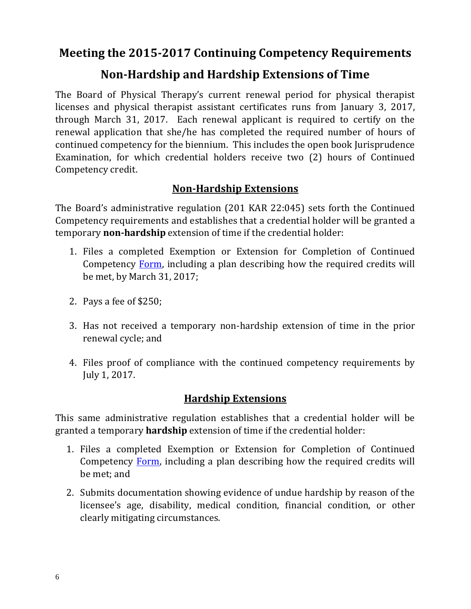**Meeting the 2015-2017 Continuing Competency Requirements**

## **Non-Hardship and Hardship Extensions of Time**

The Board of Physical Therapy's current renewal period for physical therapist licenses and physical therapist assistant certificates runs from January 3, 2017, through March 31, 2017. Each renewal applicant is required to certify on the renewal application that she/he has completed the required number of hours of continued competency for the biennium. This includes the open book Jurisprudence Examination, for which credential holders receive two (2) hours of Continued Competency credit.

## **Non-Hardship Extensions**

The Board's administrative regulation (201 KAR 22:045) sets forth the Continued Competency requirements and establishes that a credential holder will be granted a temporary **non-hardship** extension of time if the credential holder:

- 1. Files a completed Exemption or Extension for Completion of Continued Competency [Form,](http://pt.ky.gov/ContinuedCompetency/Documents/Exemption%20CC.pdf) including a plan describing how the required credits will be met, by March 31, 2017;
- 2. Pays a fee of \$250;
- 3. Has not received a temporary non-hardship extension of time in the prior renewal cycle; and
- 4. Files proof of compliance with the continued competency requirements by July 1, 2017.

## **Hardship Extensions**

This same administrative regulation establishes that a credential holder will be granted a temporary **hardship** extension of time if the credential holder:

- 1. Files a completed Exemption or Extension for Completion of Continued Competency [Form,](http://pt.ky.gov/ContinuedCompetency/Documents/Exemption%20CC.pdf) including a plan describing how the required credits will be met; and
- 2. Submits documentation showing evidence of undue hardship by reason of the licensee's age, disability, medical condition, financial condition, or other clearly mitigating circumstances.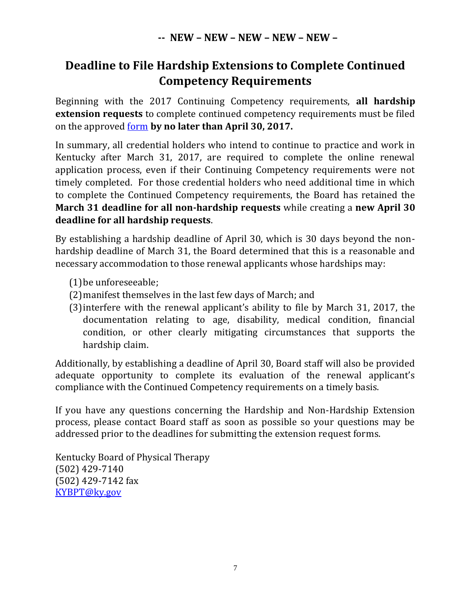## **Deadline to File Hardship Extensions to Complete Continued Competency Requirements**

Beginning with the 2017 Continuing Competency requirements, **all hardship extension requests** to complete continued competency requirements must be filed on the approved [form](http://pt.ky.gov/ContinuedCompetency/Documents/Exemption%20CC.pdf) **by no later than April 30, 2017.** 

In summary, all credential holders who intend to continue to practice and work in Kentucky after March 31, 2017, are required to complete the online renewal application process, even if their Continuing Competency requirements were not timely completed. For those credential holders who need additional time in which to complete the Continued Competency requirements, the Board has retained the **March 31 deadline for all non-hardship requests** while creating a **new April 30 deadline for all hardship requests**.

By establishing a hardship deadline of April 30, which is 30 days beyond the nonhardship deadline of March 31, the Board determined that this is a reasonable and necessary accommodation to those renewal applicants whose hardships may:

- (1)be unforeseeable;
- (2)manifest themselves in the last few days of March; and
- (3)interfere with the renewal applicant's ability to file by March 31, 2017, the documentation relating to age, disability, medical condition, financial condition, or other clearly mitigating circumstances that supports the hardship claim.

Additionally, by establishing a deadline of April 30, Board staff will also be provided adequate opportunity to complete its evaluation of the renewal applicant's compliance with the Continued Competency requirements on a timely basis.

If you have any questions concerning the Hardship and Non-Hardship Extension process, please contact Board staff as soon as possible so your questions may be addressed prior to the deadlines for submitting the extension request forms.

Kentucky Board of Physical Therapy (502) 429-7140 (502) 429-7142 fax [KYBPT@ky.gov](mailto:KYBPT@ky.gov)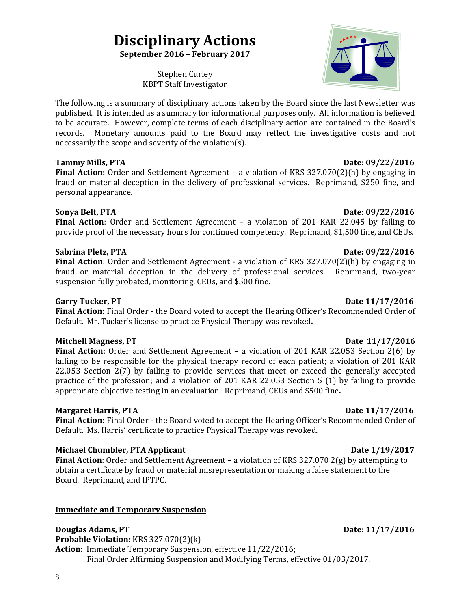# **Disciplinary Actions**

**September 2016 – February 2017**

Stephen Curley KBPT Staff Investigator

The following is a summary of disciplinary actions taken by the Board since the last Newsletter was published. It is intended as a summary for informational purposes only. All information is believed to be accurate. However, complete terms of each disciplinary action are contained in the Board's records. Monetary amounts paid to the Board may reflect the investigative costs and not necessarily the scope and severity of the violation(s).

### **Tammy Mills, PTA** 2014 *Date: 09/22/2016*

**Final Action:** Order and Settlement Agreement – a violation of KRS 327.070(2)(h) by engaging in fraud or material deception in the delivery of professional services. Reprimand, \$250 fine, and personal appearance.

#### **Sonya Belt, PTA** Date: 09/22/2016

**Final Action**: Order and Settlement Agreement – a violation of 201 KAR 22.045 by failing to provide proof of the necessary hours for continued competency. Reprimand, \$1,500 fine, and CEUs.

#### **Sabrina Pletz, PTA** Date: 09/22/2016

**Final Action**: Order and Settlement Agreement - a violation of KRS 327.070(2)(h) by engaging in fraud or material deception in the delivery of professional services. Reprimand, two-year suspension fully probated, monitoring, CEUs, and \$500 fine.

**Final Action**: Final Order - the Board voted to accept the Hearing Officer's Recommended Order of Default. Mr. Tucker's license to practice Physical Therapy was revoked**.**

#### Mitchell Magness, PT Date 11/17/2016

Final Action: Order and Settlement Agreement - a violation of 201 KAR 22.053 Section 2(6) by failing to be responsible for the physical therapy record of each patient; a violation of 201 KAR 22.053 Section 2(7) by failing to provide services that meet or exceed the generally accepted practice of the profession; and a violation of 201 KAR 22.053 Section 5 (1) by failing to provide appropriate objective testing in an evaluation. Reprimand, CEUs and \$500 fine**.** 

#### **Margaret Harris, PTA** Date 11/17/2016

**Final Action**: Final Order - the Board voted to accept the Hearing Officer's Recommended Order of Default. Ms. Harris' certificate to practice Physical Therapy was revoked.

### **Michael Chumbler, PTA Applicant Date 1/19/2017**

**Final Action**: Order and Settlement Agreement – a violation of KRS 327.070 2(g) by attempting to obtain a certificate by fraud or material misrepresentation or making a false statement to the Board. Reprimand, and IPTPC**.** 

### **Immediate and Temporary Suspension**

**Douglas Adams, PT** Date: 11/17/2016 **Probable Violation:** KRS 327.070(2)(k)

**Action:** Immediate Temporary Suspension, effective 11/22/2016; Final Order Affirming Suspension and Modifying Terms, effective 01/03/2017.

### **Garry Tucker, PT** Date 11/17/2016